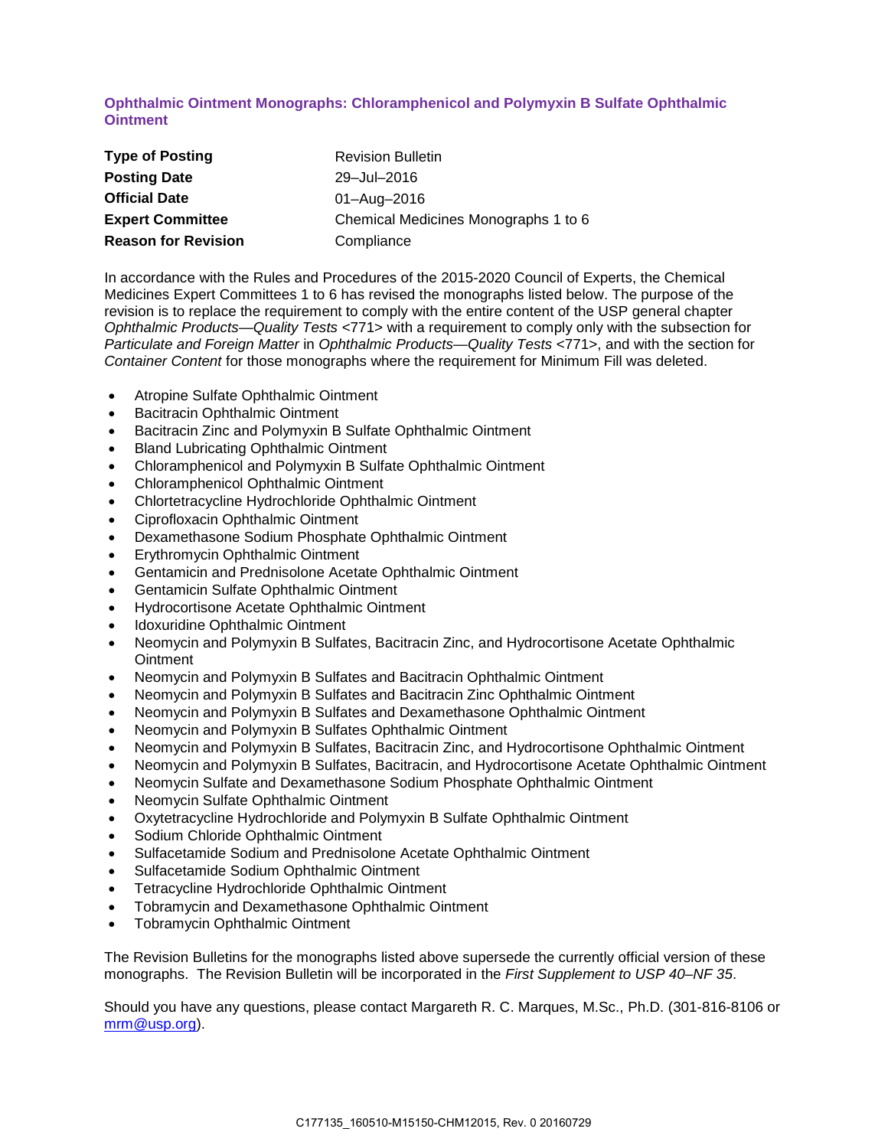## **Ophthalmic Ointment Monographs: Chloramphenicol and Polymyxin B Sulfate Ophthalmic Ointment**

| <b>Type of Posting</b>     | <b>Revision Bulletin</b>             |
|----------------------------|--------------------------------------|
| <b>Posting Date</b>        | 29-Jul-2016                          |
| <b>Official Date</b>       | 01-Aug-2016                          |
| <b>Expert Committee</b>    | Chemical Medicines Monographs 1 to 6 |
| <b>Reason for Revision</b> | Compliance                           |

In accordance with the Rules and Procedures of the 2015-2020 Council of Experts, the Chemical Medicines Expert Committees 1 to 6 has revised the monographs listed below. The purpose of the revision is to replace the requirement to comply with the entire content of the USP general chapter *Ophthalmic Products—Quality Tests* <771> with a requirement to comply only with the subsection for *Particulate and Foreign Matter* in *Ophthalmic Products—Quality Tests* <771>, and with the section for *Container Content* for those monographs where the requirement for Minimum Fill was deleted.

- Atropine Sulfate Ophthalmic Ointment
- Bacitracin Ophthalmic Ointment
- Bacitracin Zinc and Polymyxin B Sulfate Ophthalmic Ointment
- Bland Lubricating Ophthalmic Ointment
- Chloramphenicol and Polymyxin B Sulfate Ophthalmic Ointment
- Chloramphenicol Ophthalmic Ointment
- Chlortetracycline Hydrochloride Ophthalmic Ointment
- Ciprofloxacin Ophthalmic Ointment
- Dexamethasone Sodium Phosphate Ophthalmic Ointment
- Erythromycin Ophthalmic Ointment
- Gentamicin and Prednisolone Acetate Ophthalmic Ointment
- Gentamicin Sulfate Ophthalmic Ointment
- Hydrocortisone Acetate Ophthalmic Ointment
- Idoxuridine Ophthalmic Ointment
- Neomycin and Polymyxin B Sulfates, Bacitracin Zinc, and Hydrocortisone Acetate Ophthalmic **Ointment**
- Neomycin and Polymyxin B Sulfates and Bacitracin Ophthalmic Ointment
- Neomycin and Polymyxin B Sulfates and Bacitracin Zinc Ophthalmic Ointment
- Neomycin and Polymyxin B Sulfates and Dexamethasone Ophthalmic Ointment
- Neomycin and Polymyxin B Sulfates Ophthalmic Ointment
- Neomycin and Polymyxin B Sulfates, Bacitracin Zinc, and Hydrocortisone Ophthalmic Ointment
- Neomycin and Polymyxin B Sulfates, Bacitracin, and Hydrocortisone Acetate Ophthalmic Ointment
- Neomycin Sulfate and Dexamethasone Sodium Phosphate Ophthalmic Ointment
- Neomycin Sulfate Ophthalmic Ointment
- Oxytetracycline Hydrochloride and Polymyxin B Sulfate Ophthalmic Ointment
- Sodium Chloride Ophthalmic Ointment
- Sulfacetamide Sodium and Prednisolone Acetate Ophthalmic Ointment
- Sulfacetamide Sodium Ophthalmic Ointment
- Tetracycline Hydrochloride Ophthalmic Ointment
- Tobramycin and Dexamethasone Ophthalmic Ointment
- Tobramycin Ophthalmic Ointment

The Revision Bulletins for the monographs listed above supersede the currently official version of these monographs. The Revision Bulletin will be incorporated in the *First Supplement to USP 40–NF 35*.

Should you have any questions, please contact Margareth R. C. Marques, M.Sc., Ph.D. (301-816-8106 or [mrm@usp.org\)](mailto:mrm@usp.org).